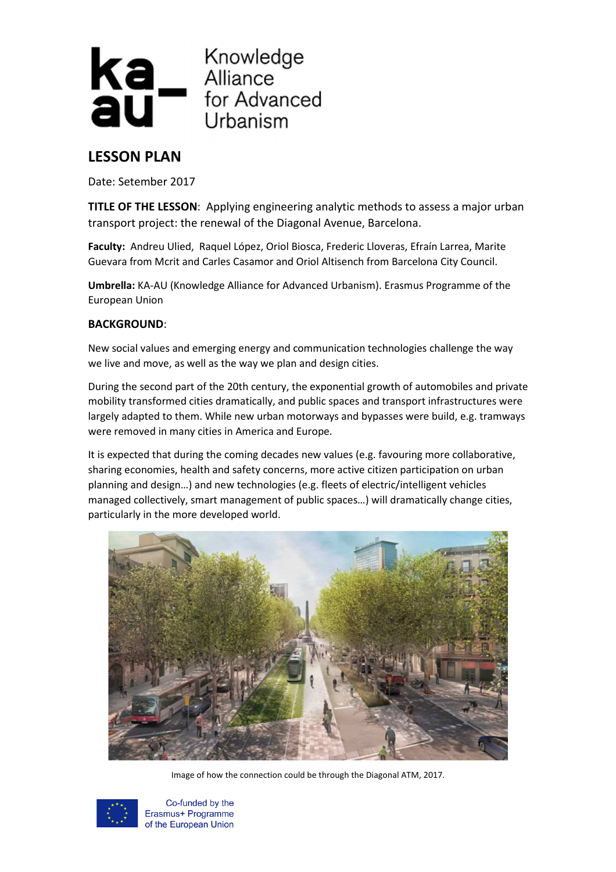

# **LESSON PLAN**

Date: Setember 2017

**TITLE OF THE LESSON**: Applying engineering analytic methods to assess a major urban transport project: the renewal of the Diagonal Avenue, Barcelona.

**Faculty:** Andreu Ulied, Raquel López, Oriol Biosca, Frederic Lloveras, Efraín Larrea, Marite Guevara from Mcrit and Carles Casamor and Oriol Altisench from Barcelona City Council.

**Umbrella:** KA-AU (Knowledge Alliance for Advanced Urbanism). Erasmus Programme of the European Union

# **BACKGROUND**:

New social values and emerging energy and communication technologies challenge the way we live and move, as well as the way we plan and design cities.

During the second part of the 20th century, the exponential growth of automobiles and private mobility transformed cities dramatically, and public spaces and transport infrastructures were largely adapted to them. While new urban motorways and bypasses were build, e.g. tramways were removed in many cities in America and Europe.

It is expected that during the coming decades new values (e.g. favouring more collaborative, sharing economies, health and safety concerns, more active citizen participation on urban planning and design…) and new technologies (e.g. fleets of electric/intelligent vehicles managed collectively, smart management of public spaces…) will dramatically change cities, particularly in the more developed world.



Image of how the connection could be through the Diagonal ATM, 2017.



Co-funded by the Erasmus+ Programme of the European Union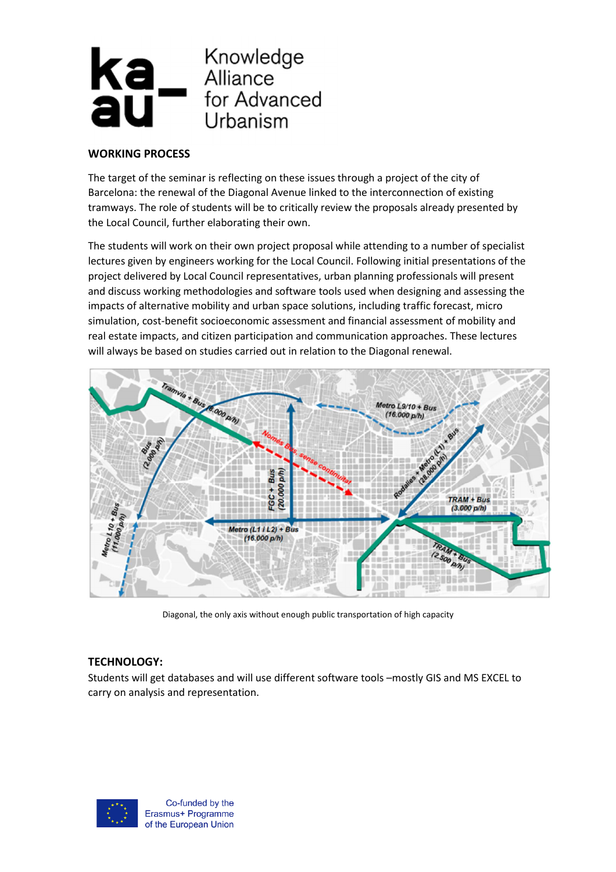

### **WORKING PROCESS**

The target of the seminar is reflecting on these issues through a project of the city of Barcelona: the renewal of the Diagonal Avenue linked to the interconnection of existing tramways. The role of students will be to critically review the proposals already presented by the Local Council, further elaborating their own.

The students will work on their own project proposal while attending to a number of specialist lectures given by engineers working for the Local Council. Following initial presentations of the project delivered by Local Council representatives, urban planning professionals will present and discuss working methodologies and software tools used when designing and assessing the impacts of alternative mobility and urban space solutions, including traffic forecast, micro simulation, cost-benefit socioeconomic assessment and financial assessment of mobility and real estate impacts, and citizen participation and communication approaches. These lectures will always be based on studies carried out in relation to the Diagonal renewal.



Diagonal, the only axis without enough public transportation of high capacity

# **TECHNOLOGY:**

Students will get databases and will use different software tools –mostly GIS and MS EXCEL to carry on analysis and representation.



Co-funded by the Erasmus+ Programme of the European Union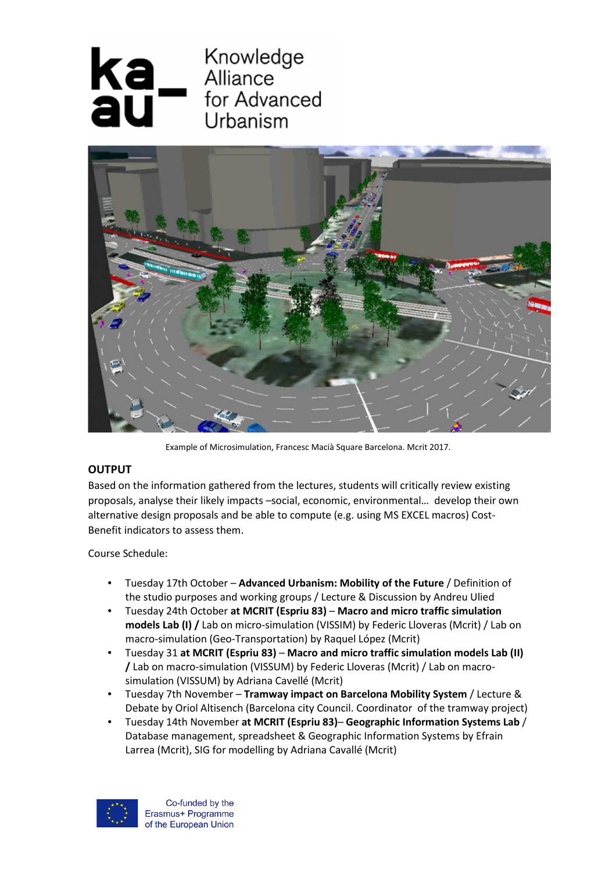



Example of Microsimulation, Francesc Macià Square Barcelona. Mcrit 2017.

# **OUTPUT**

Based on the information gathered from the lectures, students will critically review existing proposals, analyse their likely impacts –social, economic, environmental… develop their own alternative design proposals and be able to compute (e.g. using MS EXCEL macros) Cost-Benefit indicators to assess them.

Course Schedule:

- Tuesday 17th October **Advanced Urbanism: Mobility of the Future** / Definition of the studio purposes and working groups / Lecture & Discussion by Andreu Ulied
- Tuesday 24th October **at MCRIT (Espriu 83)** – **Macro and micro traffic simulation models Lab (I) /** Lab on micro-simulation (VISSIM) by Federic Lloveras (Mcrit) / Lab on macro-simulation (Geo-Transportation) by Raquel López (Mcrit)
- Tuesday 31 **at MCRIT (Espriu 83) Macro and micro traffic simulation models Lab (II) /** Lab on macro-simulation (VISSUM) by Federic Lloveras (Mcrit) / Lab on macrosimulation (VISSUM) by Adriana Cavellé (Mcrit)
- Tuesday 7th November **Tramway impact on Barcelona Mobility System** / Lecture & Debate by Oriol Altisench (Barcelona city Council. Coordinator of the tramway project)
- Tuesday 14th November **at MCRIT (Espriu 83) Geographic Information Systems Lab** / Database management, spreadsheet & Geographic Information Systems by Efrain Larrea (Mcrit), SIG for modelling by Adriana Cavallé (Mcrit)